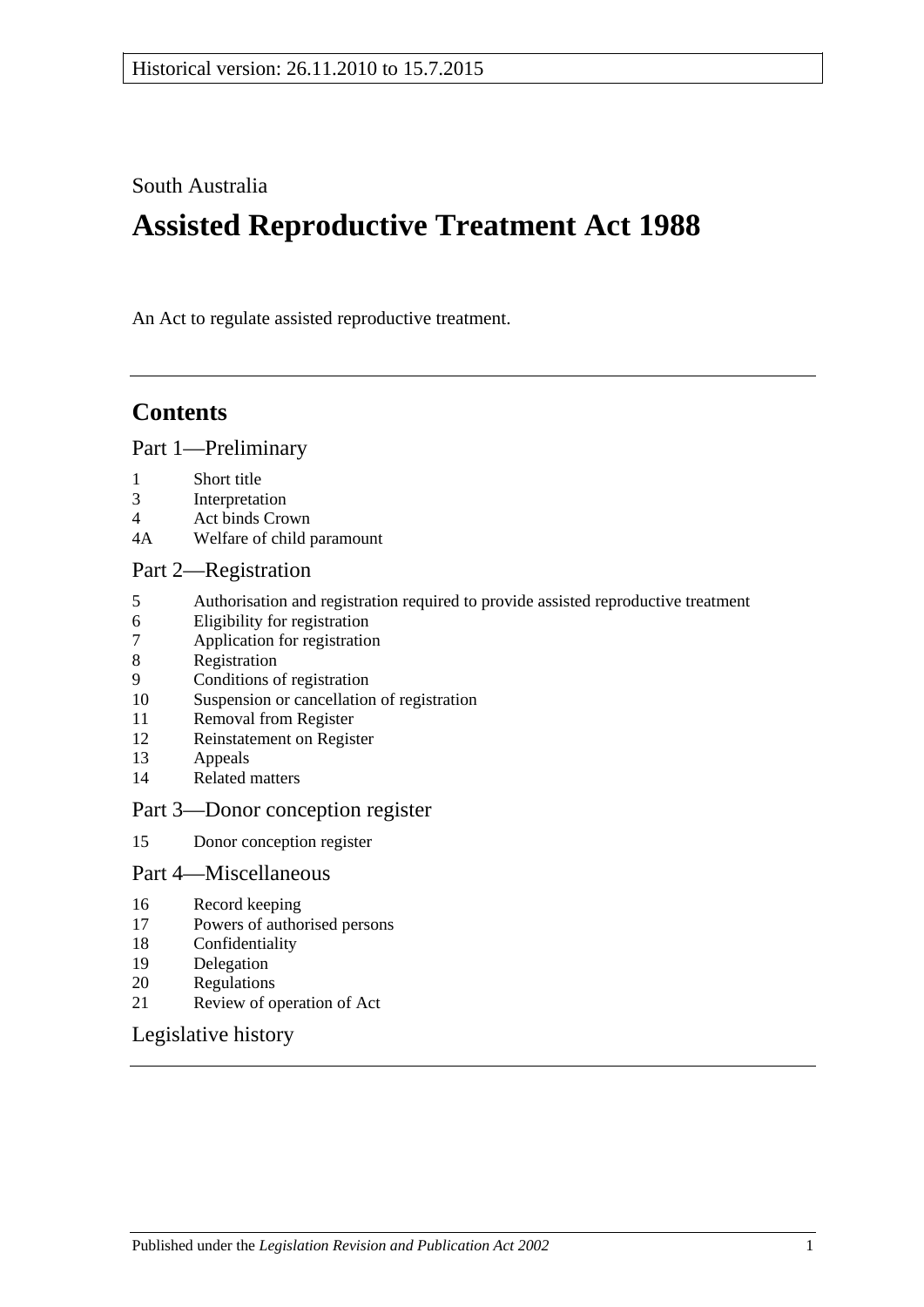South Australia

# **Assisted Reproductive Treatment Act 1988**

An Act to regulate assisted reproductive treatment.

## **Contents**

#### [Part 1—Preliminary](#page-1-0)

- 1 [Short title](#page-1-1)
- 3 [Interpretation](#page-1-2)
- 4 [Act binds Crown](#page-1-3)
- 4A [Welfare of child paramount](#page-1-4)

#### [Part 2—Registration](#page-2-0)

- 5 [Authorisation and registration required to provide assisted reproductive treatment](#page-2-1)<br>6 Eligibility for registration
- [Eligibility for registration](#page-2-2)
- 7 [Application for registration](#page-2-3)
- 8 [Registration](#page-3-0)
- 9 [Conditions of registration](#page-3-1)
- 10 [Suspension or cancellation of registration](#page-4-0)
- 11 [Removal from Register](#page-4-1)
- 12 [Reinstatement on Register](#page-5-0)
- 13 [Appeals](#page-5-1)
- 14 [Related matters](#page-6-0)

#### [Part 3—Donor conception register](#page-6-1)

15 [Donor conception register](#page-6-2)

#### [Part 4—Miscellaneous](#page-7-0)

- 16 [Record keeping](#page-7-1)
- 17 [Powers of authorised persons](#page-7-2)
- 18 [Confidentiality](#page-8-0)
- 19 [Delegation](#page-8-1)
- 20 [Regulations](#page-8-2)
- 21 [Review of operation of Act](#page-9-0)

#### [Legislative history](#page-10-0)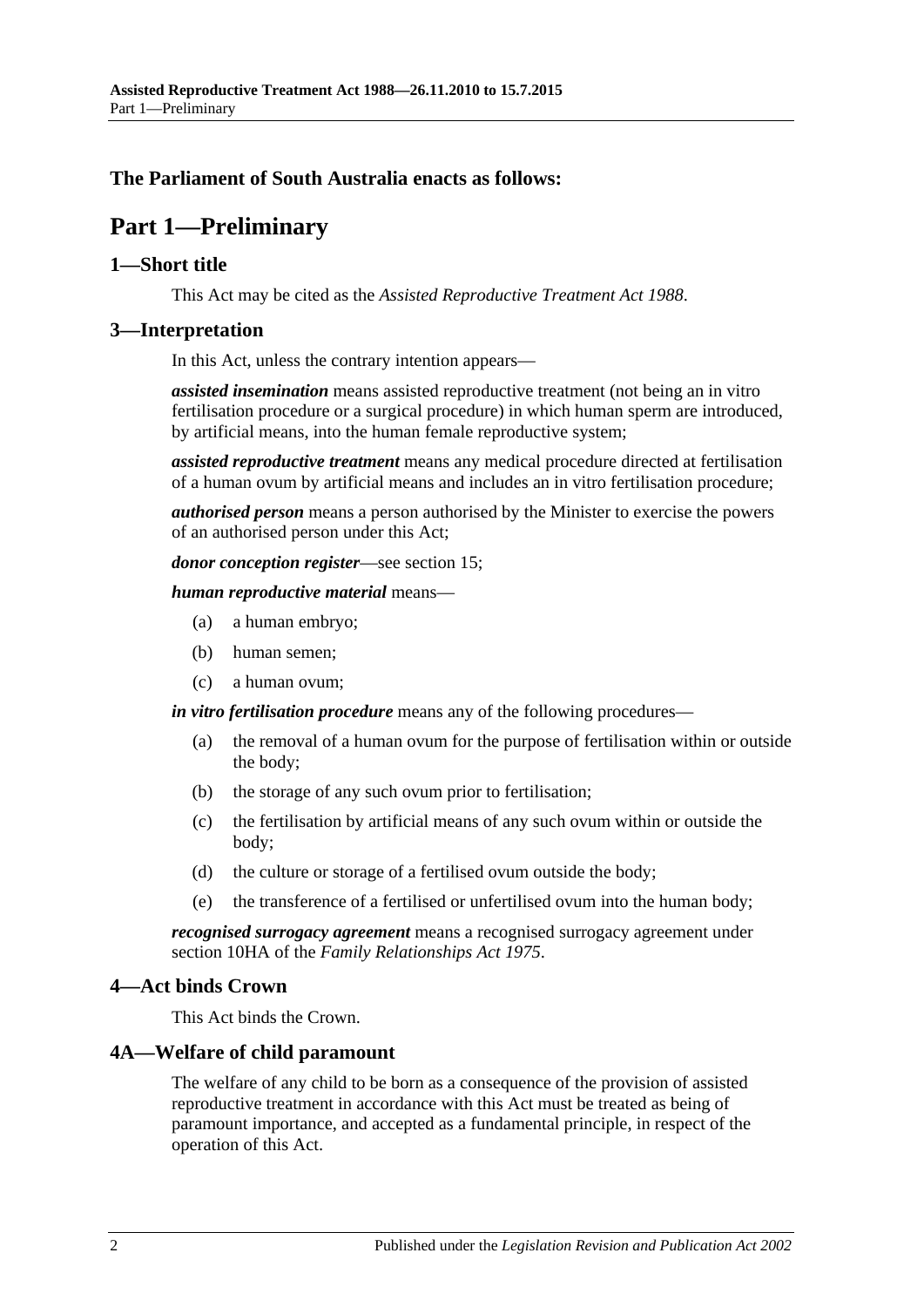### <span id="page-1-0"></span>**The Parliament of South Australia enacts as follows:**

## **Part 1—Preliminary**

#### <span id="page-1-1"></span>**1—Short title**

This Act may be cited as the *Assisted Reproductive Treatment Act 1988*.

#### <span id="page-1-2"></span>**3—Interpretation**

In this Act, unless the contrary intention appears—

*assisted insemination* means assisted reproductive treatment (not being an in vitro fertilisation procedure or a surgical procedure) in which human sperm are introduced, by artificial means, into the human female reproductive system;

*assisted reproductive treatment* means any medical procedure directed at fertilisation of a human ovum by artificial means and includes an in vitro fertilisation procedure;

*authorised person* means a person authorised by the Minister to exercise the powers of an authorised person under this Act;

*donor conception register*—see [section](#page-6-2) 15;

*human reproductive material* means—

- (a) a human embryo;
- (b) human semen;
- (c) a human ovum;

*in vitro fertilisation procedure* means any of the following procedures—

- (a) the removal of a human ovum for the purpose of fertilisation within or outside the body;
- (b) the storage of any such ovum prior to fertilisation;
- (c) the fertilisation by artificial means of any such ovum within or outside the body;
- (d) the culture or storage of a fertilised ovum outside the body;
- (e) the transference of a fertilised or unfertilised ovum into the human body;

*recognised surrogacy agreement* means a recognised surrogacy agreement under section 10HA of the *[Family Relationships Act](http://www.legislation.sa.gov.au/index.aspx?action=legref&type=act&legtitle=Family%20Relationships%20Act%201975) 1975*.

#### <span id="page-1-3"></span>**4—Act binds Crown**

This Act binds the Crown.

#### <span id="page-1-4"></span>**4A—Welfare of child paramount**

The welfare of any child to be born as a consequence of the provision of assisted reproductive treatment in accordance with this Act must be treated as being of paramount importance, and accepted as a fundamental principle, in respect of the operation of this Act.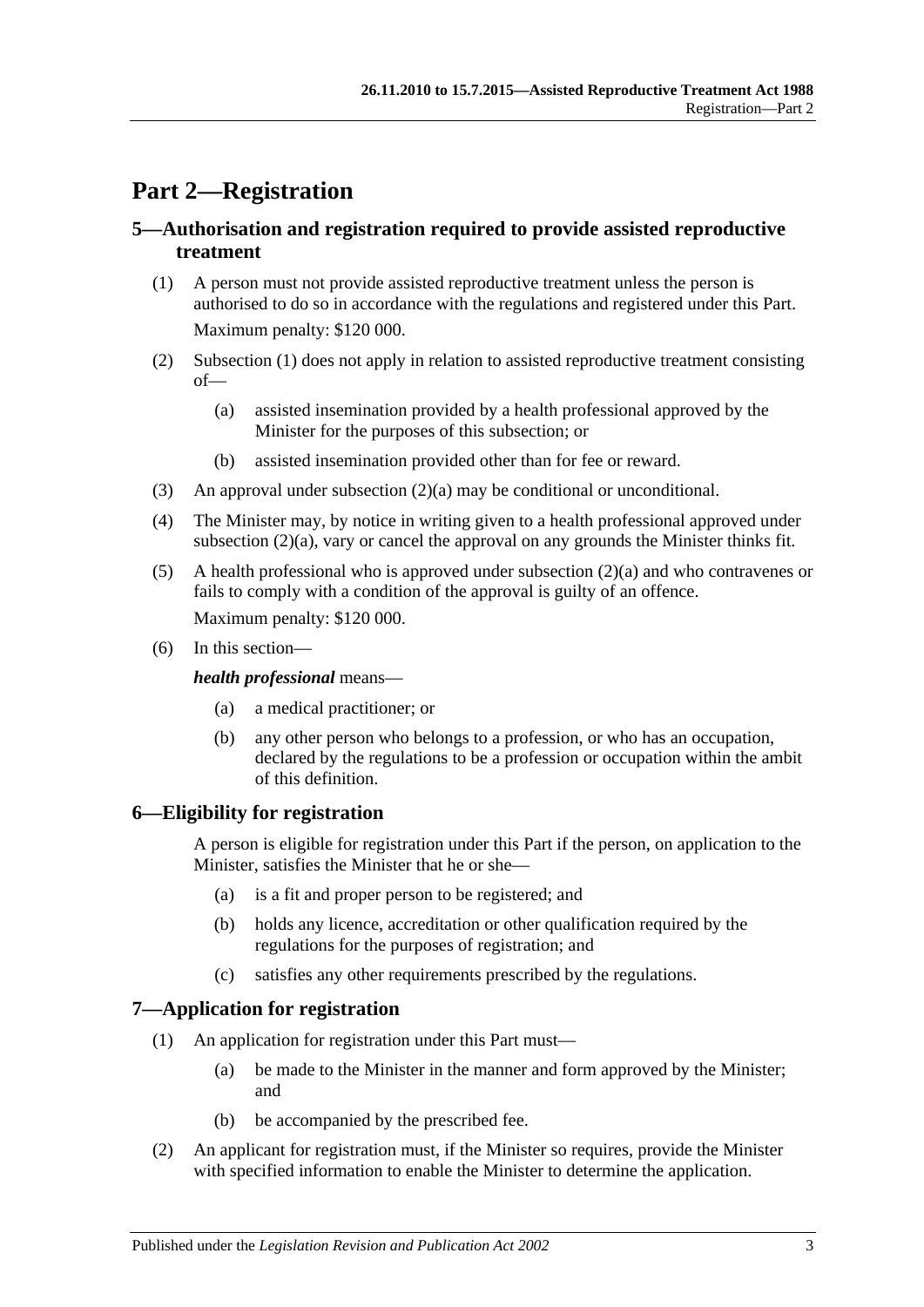## <span id="page-2-0"></span>**Part 2—Registration**

### <span id="page-2-1"></span>**5—Authorisation and registration required to provide assisted reproductive treatment**

- <span id="page-2-4"></span>(1) A person must not provide assisted reproductive treatment unless the person is authorised to do so in accordance with the regulations and registered under this Part. Maximum penalty: \$120 000.
- <span id="page-2-6"></span><span id="page-2-5"></span>(2) [Subsection](#page-2-4) (1) does not apply in relation to assisted reproductive treatment consisting of—
	- (a) assisted insemination provided by a health professional approved by the Minister for the purposes of this subsection; or
	- (b) assisted insemination provided other than for fee or reward.
- (3) An approval under [subsection](#page-2-5)  $(2)(a)$  may be conditional or unconditional.
- <span id="page-2-7"></span>(4) The Minister may, by notice in writing given to a health professional approved under [subsection](#page-2-5) (2)(a), vary or cancel the approval on any grounds the Minister thinks fit.
- (5) A health professional who is approved under [subsection](#page-2-5) (2)(a) and who contravenes or fails to comply with a condition of the approval is guilty of an offence. Maximum penalty: \$120 000.
- (6) In this section—

#### *health professional* means—

- (a) a medical practitioner; or
- (b) any other person who belongs to a profession, or who has an occupation, declared by the regulations to be a profession or occupation within the ambit of this definition.

## <span id="page-2-2"></span>**6—Eligibility for registration**

A person is eligible for registration under this Part if the person, on application to the Minister, satisfies the Minister that he or she—

- (a) is a fit and proper person to be registered; and
- (b) holds any licence, accreditation or other qualification required by the regulations for the purposes of registration; and
- (c) satisfies any other requirements prescribed by the regulations.

#### <span id="page-2-3"></span>**7—Application for registration**

- (1) An application for registration under this Part must—
	- (a) be made to the Minister in the manner and form approved by the Minister; and
	- (b) be accompanied by the prescribed fee.
- (2) An applicant for registration must, if the Minister so requires, provide the Minister with specified information to enable the Minister to determine the application.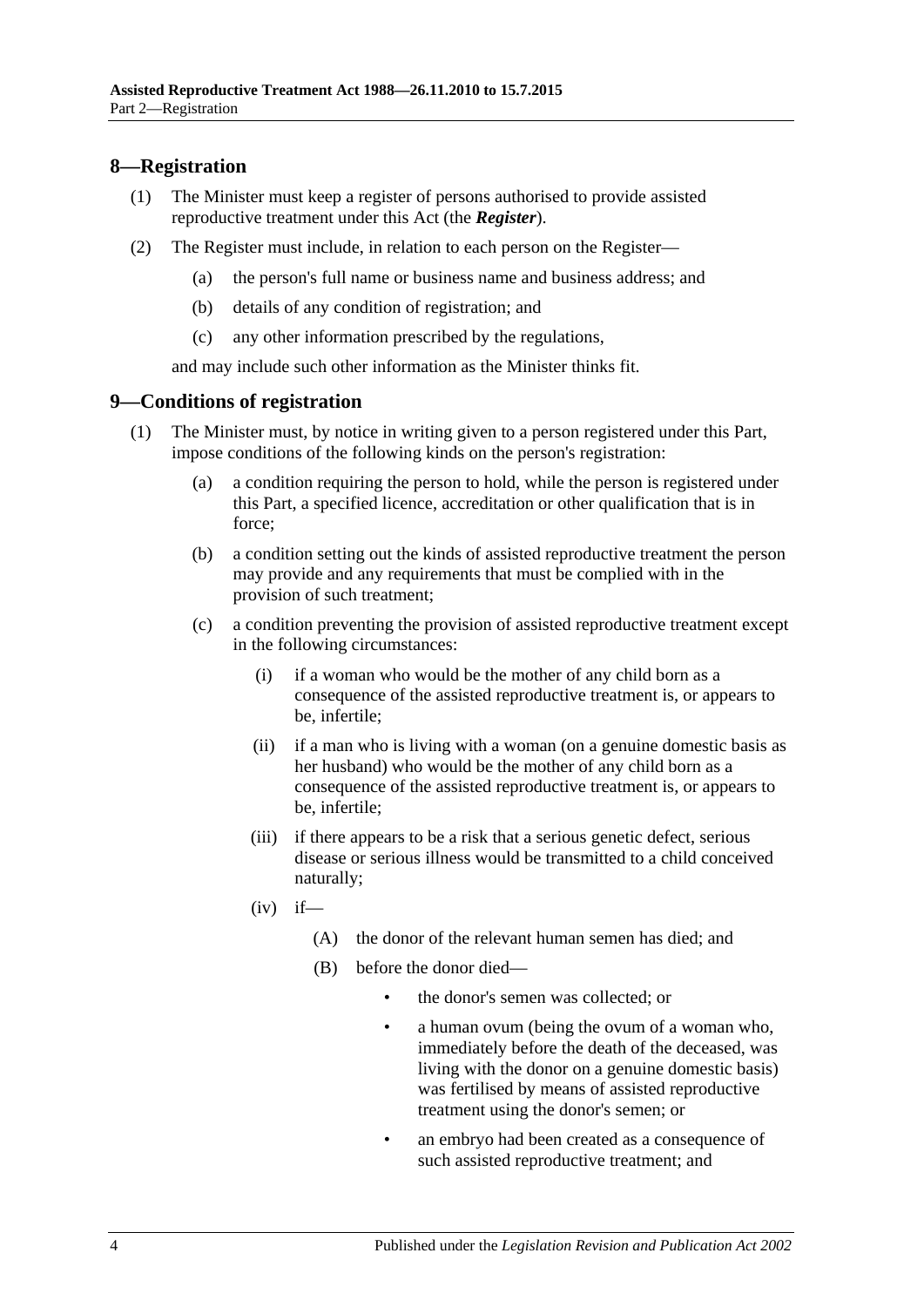### <span id="page-3-0"></span>**8—Registration**

- (1) The Minister must keep a register of persons authorised to provide assisted reproductive treatment under this Act (the *Register*).
- (2) The Register must include, in relation to each person on the Register—
	- (a) the person's full name or business name and business address; and
	- (b) details of any condition of registration; and
	- (c) any other information prescribed by the regulations,

and may include such other information as the Minister thinks fit.

#### <span id="page-3-1"></span>**9—Conditions of registration**

- (1) The Minister must, by notice in writing given to a person registered under this Part, impose conditions of the following kinds on the person's registration:
	- (a) a condition requiring the person to hold, while the person is registered under this Part, a specified licence, accreditation or other qualification that is in force;
	- (b) a condition setting out the kinds of assisted reproductive treatment the person may provide and any requirements that must be complied with in the provision of such treatment;
	- (c) a condition preventing the provision of assisted reproductive treatment except in the following circumstances:
		- (i) if a woman who would be the mother of any child born as a consequence of the assisted reproductive treatment is, or appears to be, infertile;
		- (ii) if a man who is living with a woman (on a genuine domestic basis as her husband) who would be the mother of any child born as a consequence of the assisted reproductive treatment is, or appears to be, infertile;
		- (iii) if there appears to be a risk that a serious genetic defect, serious disease or serious illness would be transmitted to a child conceived naturally;
		- $(iv)$  if—
			- (A) the donor of the relevant human semen has died; and
			- (B) before the donor died—
				- the donor's semen was collected; or
				- a human ovum (being the ovum of a woman who, immediately before the death of the deceased, was living with the donor on a genuine domestic basis) was fertilised by means of assisted reproductive treatment using the donor's semen; or
				- an embryo had been created as a consequence of such assisted reproductive treatment; and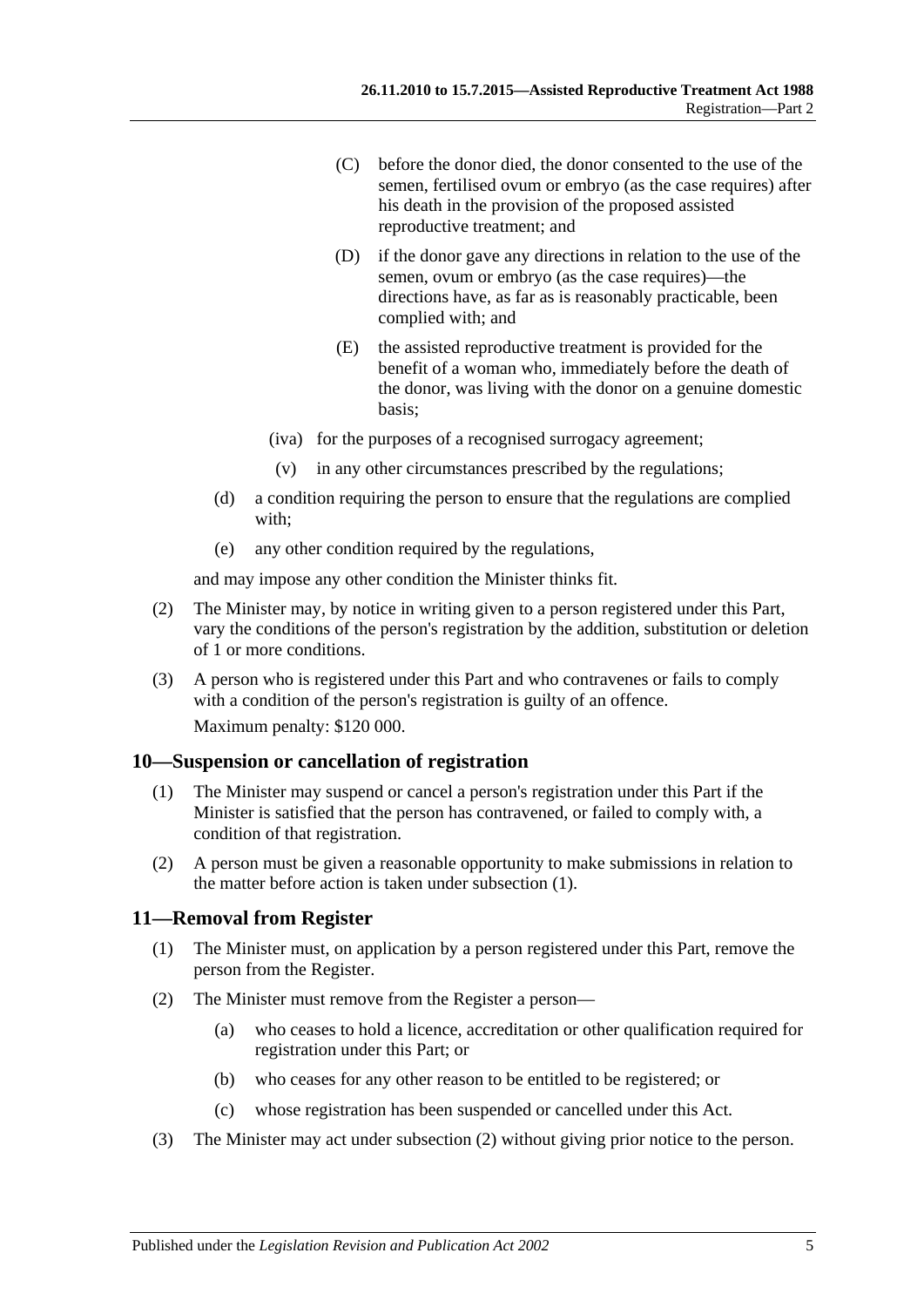- (C) before the donor died, the donor consented to the use of the semen, fertilised ovum or embryo (as the case requires) after his death in the provision of the proposed assisted reproductive treatment; and
- (D) if the donor gave any directions in relation to the use of the semen, ovum or embryo (as the case requires)—the directions have, as far as is reasonably practicable, been complied with; and
- (E) the assisted reproductive treatment is provided for the benefit of a woman who, immediately before the death of the donor, was living with the donor on a genuine domestic basis;
- (iva) for the purposes of a recognised surrogacy agreement;
- (v) in any other circumstances prescribed by the regulations;
- (d) a condition requiring the person to ensure that the regulations are complied with;
- (e) any other condition required by the regulations,

and may impose any other condition the Minister thinks fit.

- (2) The Minister may, by notice in writing given to a person registered under this Part, vary the conditions of the person's registration by the addition, substitution or deletion of 1 or more conditions.
- (3) A person who is registered under this Part and who contravenes or fails to comply with a condition of the person's registration is guilty of an offence. Maximum penalty: \$120 000.

#### <span id="page-4-2"></span><span id="page-4-0"></span>**10—Suspension or cancellation of registration**

- (1) The Minister may suspend or cancel a person's registration under this Part if the Minister is satisfied that the person has contravened, or failed to comply with, a condition of that registration.
- (2) A person must be given a reasonable opportunity to make submissions in relation to the matter before action is taken under [subsection](#page-4-2) (1).

#### <span id="page-4-1"></span>**11—Removal from Register**

- (1) The Minister must, on application by a person registered under this Part, remove the person from the Register.
- <span id="page-4-3"></span>(2) The Minister must remove from the Register a person—
	- (a) who ceases to hold a licence, accreditation or other qualification required for registration under this Part; or
	- (b) who ceases for any other reason to be entitled to be registered; or
	- (c) whose registration has been suspended or cancelled under this Act.
- (3) The Minister may act under [subsection](#page-4-3) (2) without giving prior notice to the person.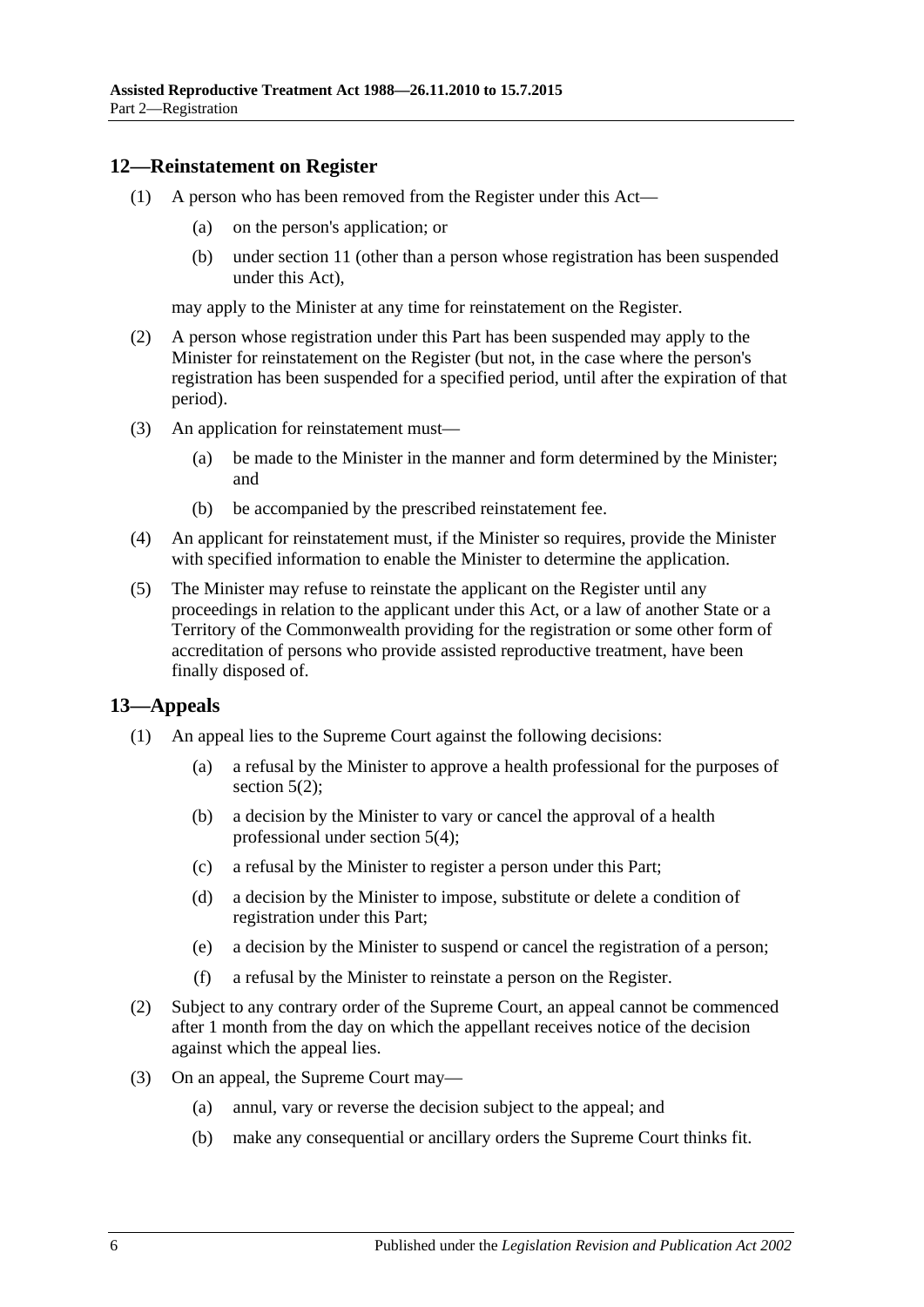#### <span id="page-5-0"></span>**12—Reinstatement on Register**

- (1) A person who has been removed from the Register under this Act—
	- (a) on the person's application; or
	- (b) under [section](#page-4-1) 11 (other than a person whose registration has been suspended under this Act),

may apply to the Minister at any time for reinstatement on the Register.

- (2) A person whose registration under this Part has been suspended may apply to the Minister for reinstatement on the Register (but not, in the case where the person's registration has been suspended for a specified period, until after the expiration of that period).
- (3) An application for reinstatement must—
	- (a) be made to the Minister in the manner and form determined by the Minister; and
	- (b) be accompanied by the prescribed reinstatement fee.
- (4) An applicant for reinstatement must, if the Minister so requires, provide the Minister with specified information to enable the Minister to determine the application.
- (5) The Minister may refuse to reinstate the applicant on the Register until any proceedings in relation to the applicant under this Act, or a law of another State or a Territory of the Commonwealth providing for the registration or some other form of accreditation of persons who provide assisted reproductive treatment, have been finally disposed of.

#### <span id="page-5-1"></span>**13—Appeals**

- (1) An appeal lies to the Supreme Court against the following decisions:
	- (a) a refusal by the Minister to approve a health professional for the purposes of [section](#page-2-6)  $5(2)$ ;
	- (b) a decision by the Minister to vary or cancel the approval of a health professional under [section](#page-2-7) 5(4);
	- (c) a refusal by the Minister to register a person under this Part;
	- (d) a decision by the Minister to impose, substitute or delete a condition of registration under this Part;
	- (e) a decision by the Minister to suspend or cancel the registration of a person;
	- (f) a refusal by the Minister to reinstate a person on the Register.
- (2) Subject to any contrary order of the Supreme Court, an appeal cannot be commenced after 1 month from the day on which the appellant receives notice of the decision against which the appeal lies.
- (3) On an appeal, the Supreme Court may—
	- (a) annul, vary or reverse the decision subject to the appeal; and
	- (b) make any consequential or ancillary orders the Supreme Court thinks fit.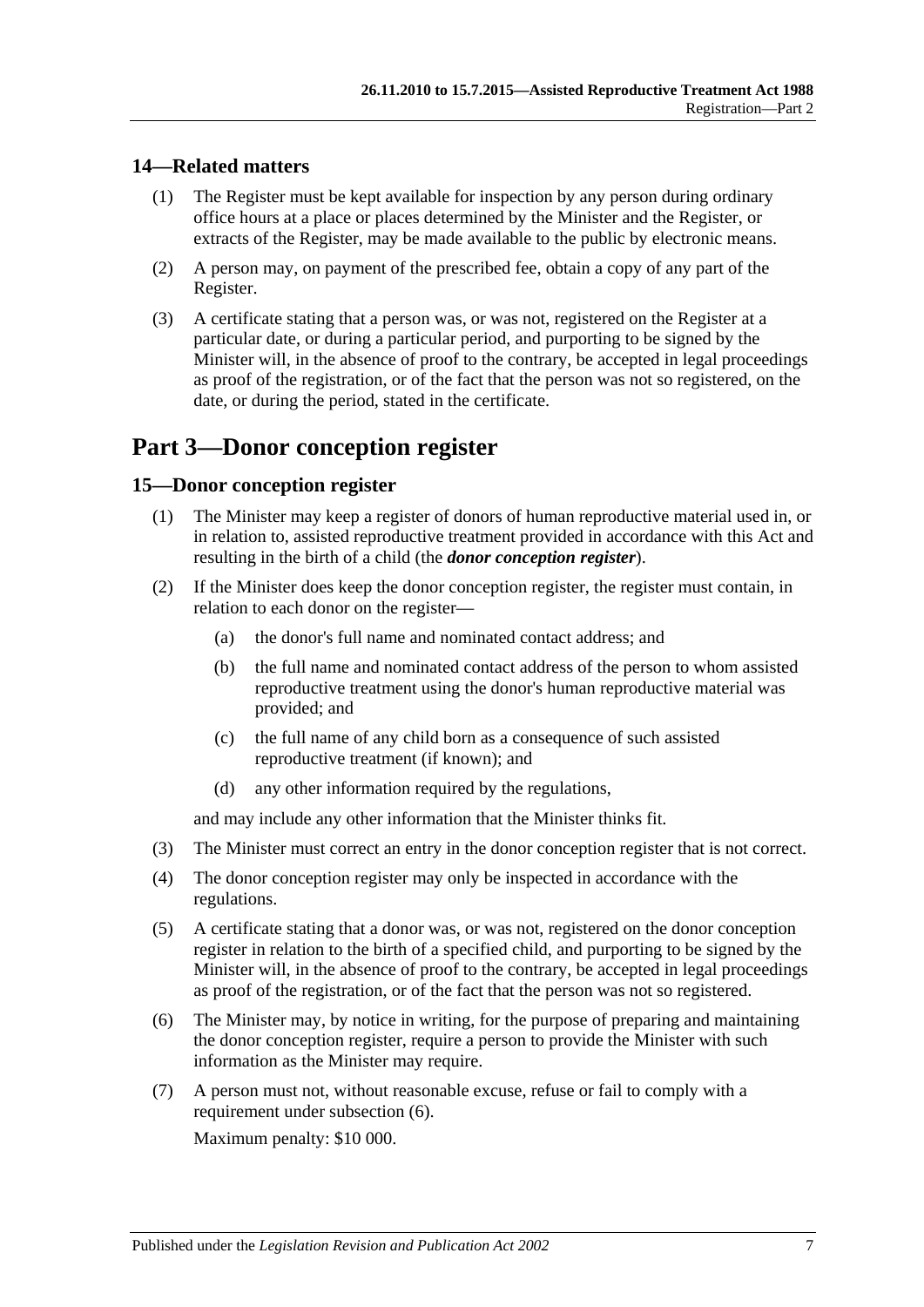### <span id="page-6-0"></span>**14—Related matters**

- (1) The Register must be kept available for inspection by any person during ordinary office hours at a place or places determined by the Minister and the Register, or extracts of the Register, may be made available to the public by electronic means.
- (2) A person may, on payment of the prescribed fee, obtain a copy of any part of the Register.
- (3) A certificate stating that a person was, or was not, registered on the Register at a particular date, or during a particular period, and purporting to be signed by the Minister will, in the absence of proof to the contrary, be accepted in legal proceedings as proof of the registration, or of the fact that the person was not so registered, on the date, or during the period, stated in the certificate.

## <span id="page-6-1"></span>**Part 3—Donor conception register**

#### <span id="page-6-2"></span>**15—Donor conception register**

- (1) The Minister may keep a register of donors of human reproductive material used in, or in relation to, assisted reproductive treatment provided in accordance with this Act and resulting in the birth of a child (the *donor conception register*).
- (2) If the Minister does keep the donor conception register, the register must contain, in relation to each donor on the register—
	- (a) the donor's full name and nominated contact address; and
	- (b) the full name and nominated contact address of the person to whom assisted reproductive treatment using the donor's human reproductive material was provided; and
	- (c) the full name of any child born as a consequence of such assisted reproductive treatment (if known); and
	- (d) any other information required by the regulations,

and may include any other information that the Minister thinks fit.

- (3) The Minister must correct an entry in the donor conception register that is not correct.
- (4) The donor conception register may only be inspected in accordance with the regulations.
- (5) A certificate stating that a donor was, or was not, registered on the donor conception register in relation to the birth of a specified child, and purporting to be signed by the Minister will, in the absence of proof to the contrary, be accepted in legal proceedings as proof of the registration, or of the fact that the person was not so registered.
- <span id="page-6-3"></span>(6) The Minister may, by notice in writing, for the purpose of preparing and maintaining the donor conception register, require a person to provide the Minister with such information as the Minister may require.
- (7) A person must not, without reasonable excuse, refuse or fail to comply with a requirement under [subsection](#page-6-3) (6).

Maximum penalty: \$10 000.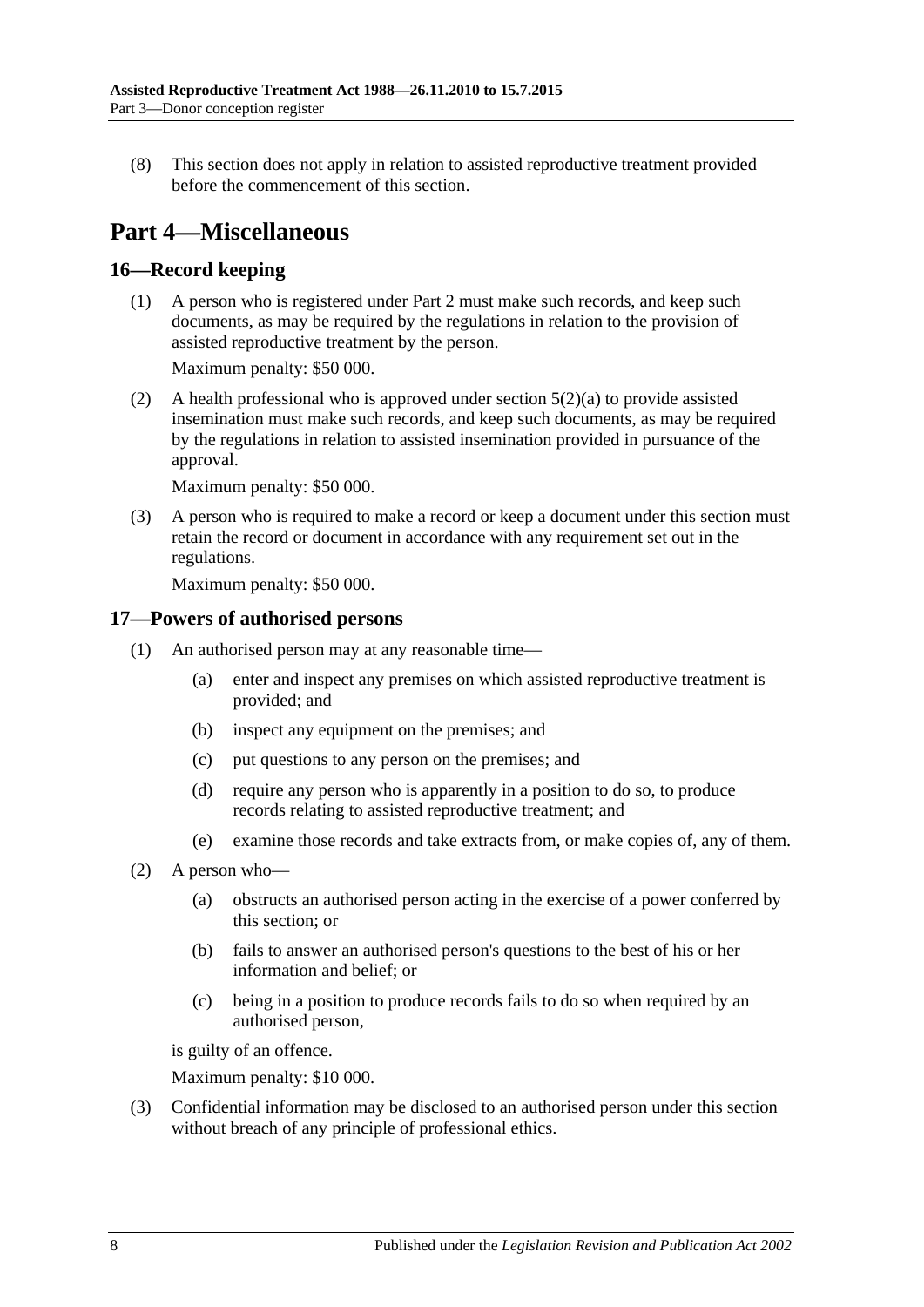(8) This section does not apply in relation to assisted reproductive treatment provided before the commencement of this section.

## <span id="page-7-0"></span>**Part 4—Miscellaneous**

## <span id="page-7-1"></span>**16—Record keeping**

(1) A person who is registered under [Part 2](#page-2-0) must make such records, and keep such documents, as may be required by the regulations in relation to the provision of assisted reproductive treatment by the person.

Maximum penalty: \$50 000.

(2) A health professional who is approved under [section](#page-2-5) 5(2)(a) to provide assisted insemination must make such records, and keep such documents, as may be required by the regulations in relation to assisted insemination provided in pursuance of the approval.

Maximum penalty: \$50 000.

(3) A person who is required to make a record or keep a document under this section must retain the record or document in accordance with any requirement set out in the regulations.

Maximum penalty: \$50 000.

#### <span id="page-7-2"></span>**17—Powers of authorised persons**

- (1) An authorised person may at any reasonable time—
	- (a) enter and inspect any premises on which assisted reproductive treatment is provided; and
	- (b) inspect any equipment on the premises; and
	- (c) put questions to any person on the premises; and
	- (d) require any person who is apparently in a position to do so, to produce records relating to assisted reproductive treatment; and
	- (e) examine those records and take extracts from, or make copies of, any of them.
- (2) A person who—
	- (a) obstructs an authorised person acting in the exercise of a power conferred by this section; or
	- (b) fails to answer an authorised person's questions to the best of his or her information and belief; or
	- (c) being in a position to produce records fails to do so when required by an authorised person,

is guilty of an offence.

Maximum penalty: \$10 000.

(3) Confidential information may be disclosed to an authorised person under this section without breach of any principle of professional ethics.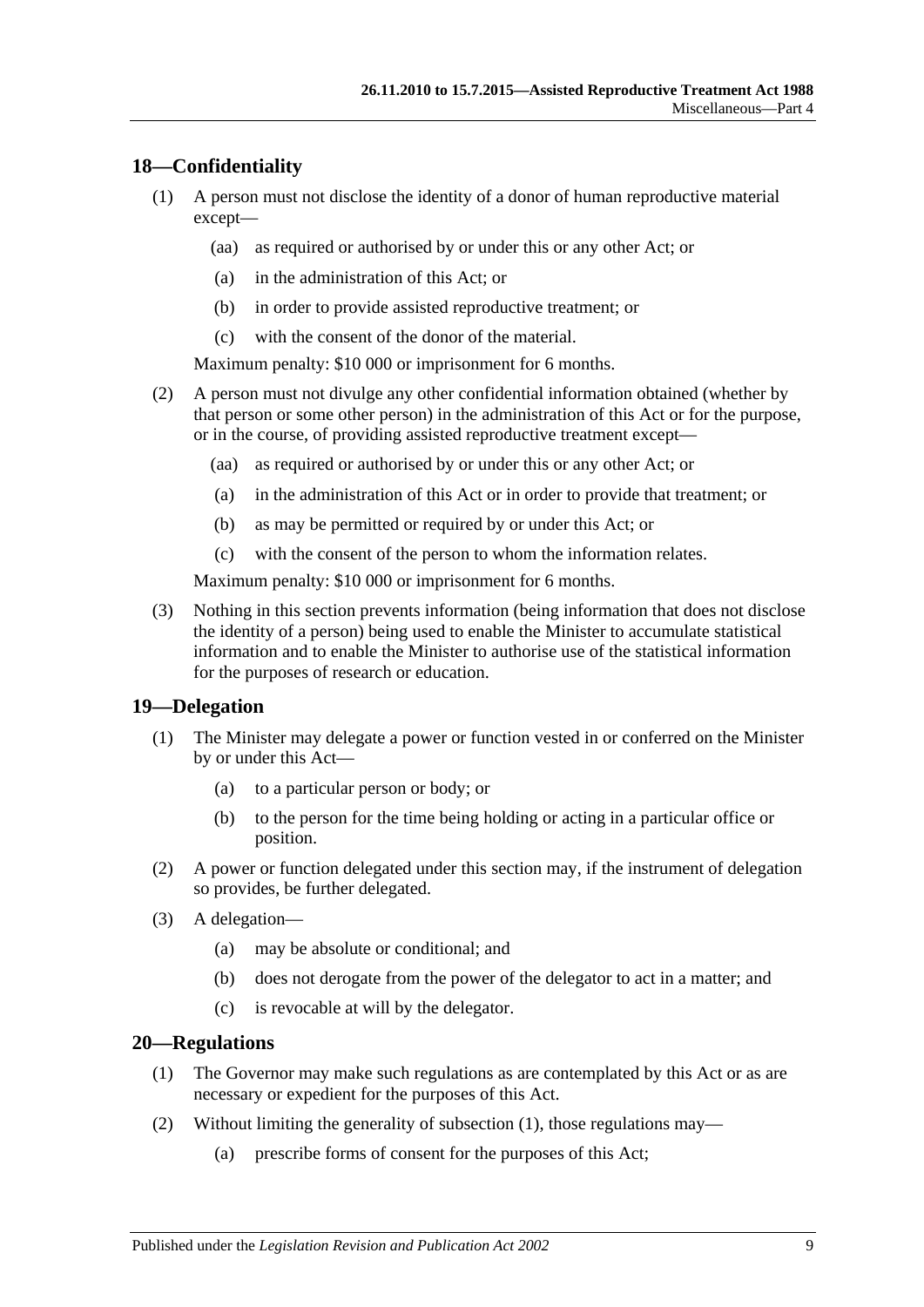#### <span id="page-8-0"></span>**18—Confidentiality**

- (1) A person must not disclose the identity of a donor of human reproductive material except—
	- (aa) as required or authorised by or under this or any other Act; or
	- (a) in the administration of this Act; or
	- (b) in order to provide assisted reproductive treatment; or
	- (c) with the consent of the donor of the material.

Maximum penalty: \$10 000 or imprisonment for 6 months.

- (2) A person must not divulge any other confidential information obtained (whether by that person or some other person) in the administration of this Act or for the purpose, or in the course, of providing assisted reproductive treatment except—
	- (aa) as required or authorised by or under this or any other Act; or
	- (a) in the administration of this Act or in order to provide that treatment; or
	- (b) as may be permitted or required by or under this Act; or
	- (c) with the consent of the person to whom the information relates.

Maximum penalty: \$10 000 or imprisonment for 6 months.

(3) Nothing in this section prevents information (being information that does not disclose the identity of a person) being used to enable the Minister to accumulate statistical information and to enable the Minister to authorise use of the statistical information for the purposes of research or education.

#### <span id="page-8-1"></span>**19—Delegation**

- (1) The Minister may delegate a power or function vested in or conferred on the Minister by or under this Act—
	- (a) to a particular person or body; or
	- (b) to the person for the time being holding or acting in a particular office or position.
- (2) A power or function delegated under this section may, if the instrument of delegation so provides, be further delegated.
- (3) A delegation—
	- (a) may be absolute or conditional; and
	- (b) does not derogate from the power of the delegator to act in a matter; and
	- (c) is revocable at will by the delegator.

#### <span id="page-8-3"></span><span id="page-8-2"></span>**20—Regulations**

- (1) The Governor may make such regulations as are contemplated by this Act or as are necessary or expedient for the purposes of this Act.
- (2) Without limiting the generality of [subsection](#page-8-3) (1), those regulations may—
	- (a) prescribe forms of consent for the purposes of this Act;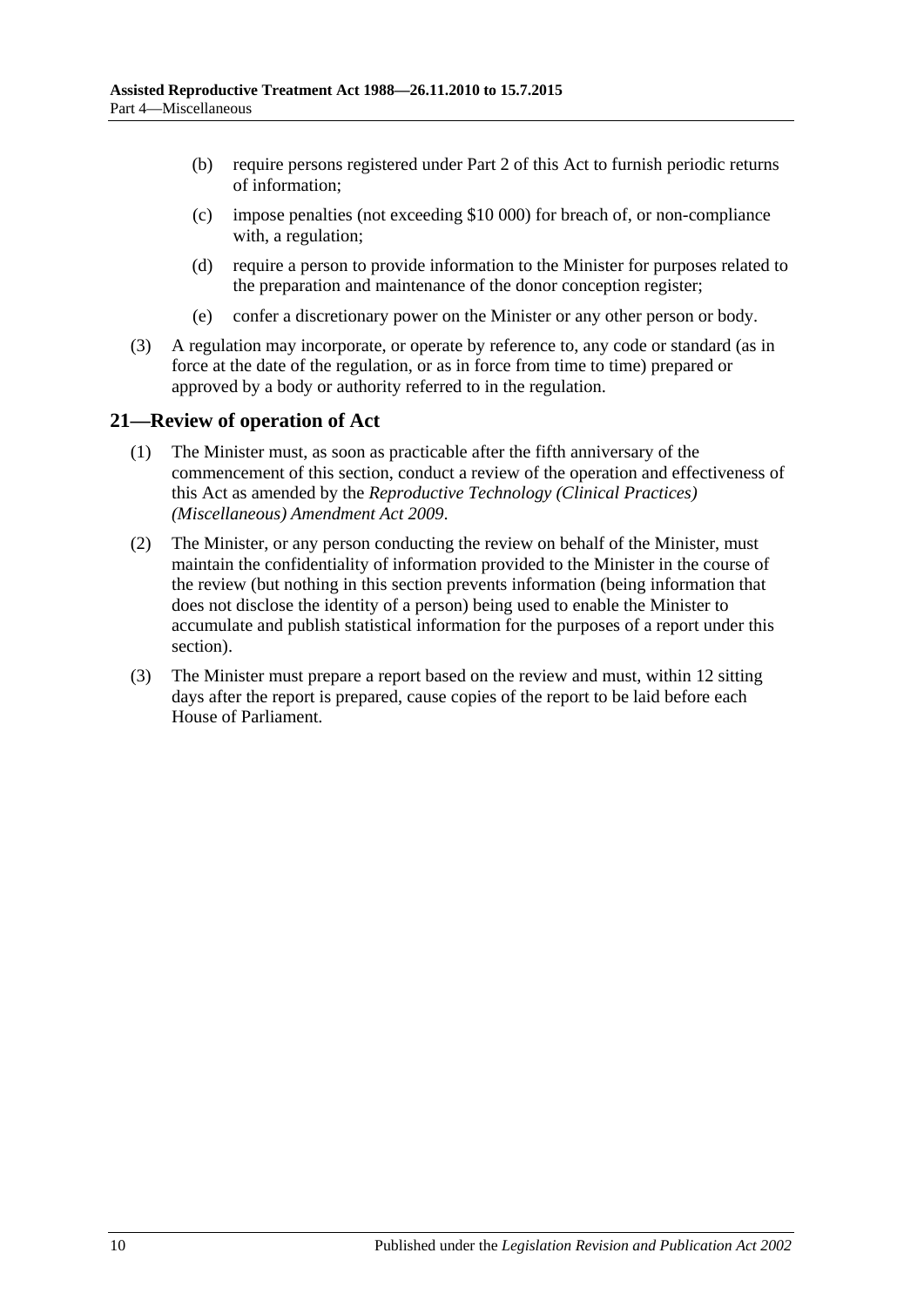- (b) require persons registered under [Part 2](#page-2-0) of this Act to furnish periodic returns of information;
- (c) impose penalties (not exceeding \$10 000) for breach of, or non-compliance with, a regulation;
- (d) require a person to provide information to the Minister for purposes related to the preparation and maintenance of the donor conception register;
- (e) confer a discretionary power on the Minister or any other person or body.
- (3) A regulation may incorporate, or operate by reference to, any code or standard (as in force at the date of the regulation, or as in force from time to time) prepared or approved by a body or authority referred to in the regulation.

### <span id="page-9-0"></span>**21—Review of operation of Act**

- (1) The Minister must, as soon as practicable after the fifth anniversary of the commencement of this section, conduct a review of the operation and effectiveness of this Act as amended by the *[Reproductive Technology \(Clinical Practices\)](http://www.legislation.sa.gov.au/index.aspx?action=legref&type=act&legtitle=Reproductive%20Technology%20(Clinical%20Practices)%20(Miscellaneous)%20Amendment%20Act%202009)  [\(Miscellaneous\) Amendment Act](http://www.legislation.sa.gov.au/index.aspx?action=legref&type=act&legtitle=Reproductive%20Technology%20(Clinical%20Practices)%20(Miscellaneous)%20Amendment%20Act%202009) 2009*.
- (2) The Minister, or any person conducting the review on behalf of the Minister, must maintain the confidentiality of information provided to the Minister in the course of the review (but nothing in this section prevents information (being information that does not disclose the identity of a person) being used to enable the Minister to accumulate and publish statistical information for the purposes of a report under this section).
- (3) The Minister must prepare a report based on the review and must, within 12 sitting days after the report is prepared, cause copies of the report to be laid before each House of Parliament.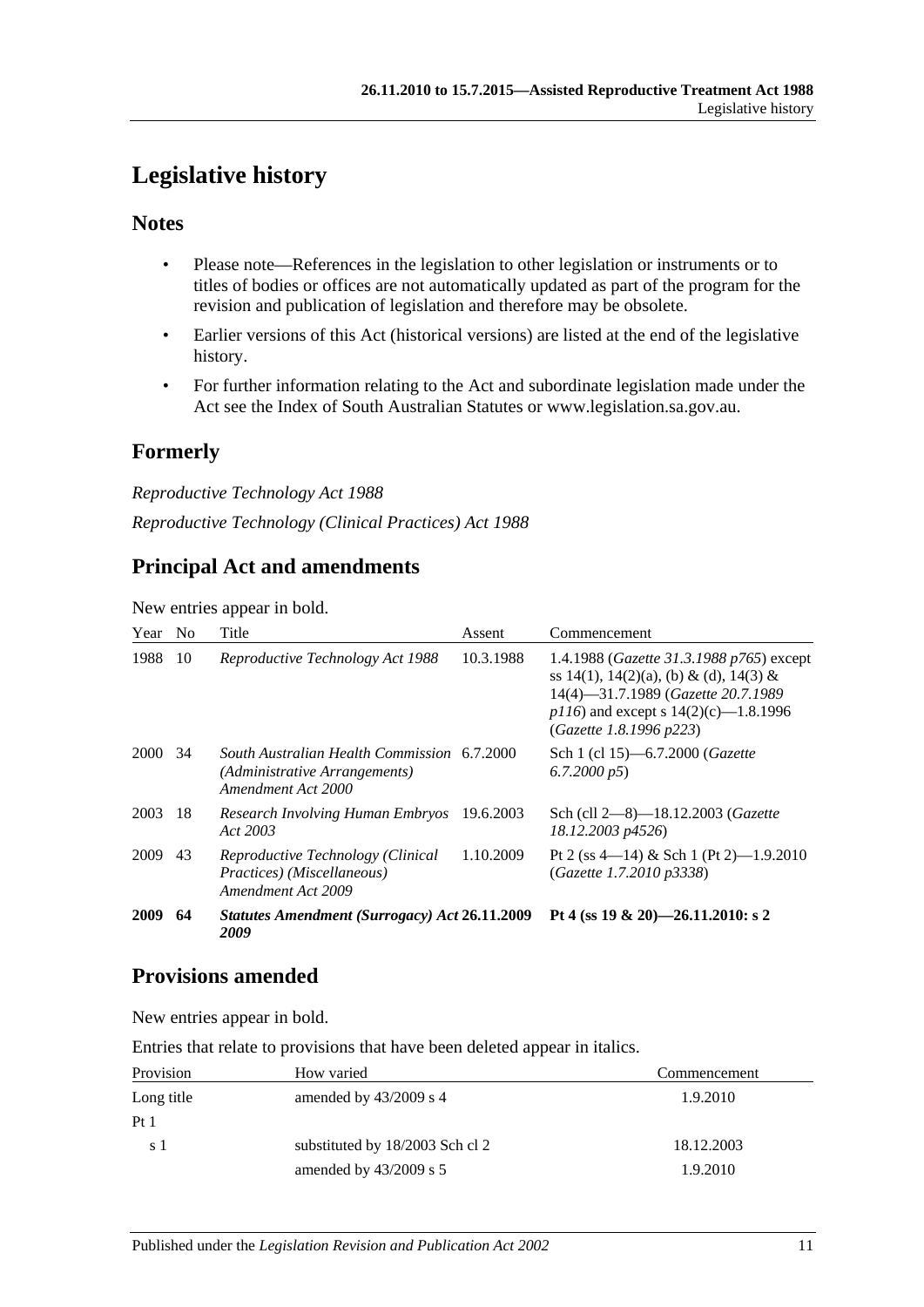## <span id="page-10-0"></span>**Legislative history**

## **Notes**

- Please note—References in the legislation to other legislation or instruments or to titles of bodies or offices are not automatically updated as part of the program for the revision and publication of legislation and therefore may be obsolete.
- Earlier versions of this Act (historical versions) are listed at the end of the legislative history.
- For further information relating to the Act and subordinate legislation made under the Act see the Index of South Australian Statutes or www.legislation.sa.gov.au.

## **Formerly**

*Reproductive Technology Act 1988 Reproductive Technology (Clinical Practices) Act 1988*

## **Principal Act and amendments**

New entries appear in bold.

| Year No     |     | Title                                                                                              | Assent    | Commencement                                                                                                                                                                                            |
|-------------|-----|----------------------------------------------------------------------------------------------------|-----------|---------------------------------------------------------------------------------------------------------------------------------------------------------------------------------------------------------|
| 1988        | 10  | Reproductive Technology Act 1988                                                                   | 10.3.1988 | 1.4.1988 ( <i>Gazette 31.3.1988 p765</i> ) except<br>ss 14(1), 14(2)(a), (b) & (d), 14(3) &<br>14(4)-31.7.1989 (Gazette 20.7.1989<br>$p116$ ) and except s 14(2)(c)-1.8.1996<br>(Gazette 1.8.1996 p223) |
| <b>2000</b> | -34 | South Australian Health Commission 6.7.2000<br>(Administrative Arrangements)<br>Amendment Act 2000 |           | Sch 1 (cl 15)-6.7.2000 (Gazette<br>$(6.7.2000 \text{ p5})$                                                                                                                                              |
| 2003        | 18  | Research Involving Human Embryos<br>Act 2003                                                       | 19.6.2003 | Sch (cll 2-8)-18.12.2003 (Gazette<br>18.12.2003 p4526)                                                                                                                                                  |
| 2009        | 43  | Reproductive Technology (Clinical<br>Practices) (Miscellaneous)<br>Amendment Act 2009              | 1.10.2009 | Pt 2 (ss 4—14) & Sch 1 (Pt 2)—1.9.2010<br>(Gazette 1.7.2010 p3338)                                                                                                                                      |
| 2009        | 64  | Statutes Amendment (Surrogacy) Act 26.11.2009<br>2009                                              |           | Pt 4 (ss 19 & 20)-26.11.2010: s 2                                                                                                                                                                       |

## **Provisions amended**

New entries appear in bold.

Entries that relate to provisions that have been deleted appear in italics.

| Provision       | How varied                      | Commencement |
|-----------------|---------------------------------|--------------|
| Long title      | amended by $43/2009$ s 4        | 1.9.2010     |
| Pt <sub>1</sub> |                                 |              |
| s 1             | substituted by 18/2003 Sch cl 2 | 18.12.2003   |
|                 | amended by $43/2009$ s 5        | 1.9.2010     |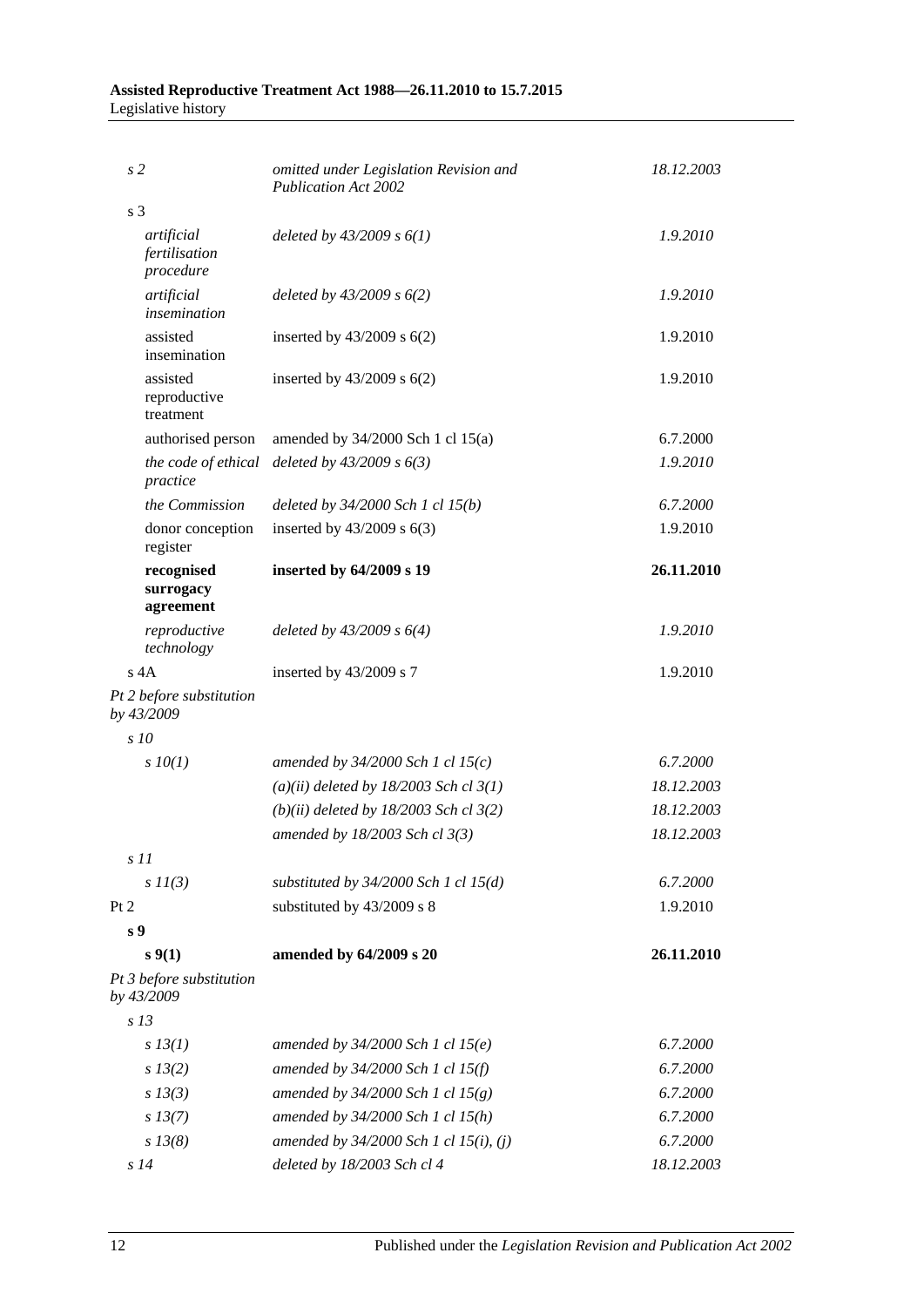### **Assisted Reproductive Treatment Act 1988—26.11.2010 to 15.7.2015** Legislative history

| s2                                       | omitted under Legislation Revision and<br><b>Publication Act 2002</b> | 18.12.2003 |  |
|------------------------------------------|-----------------------------------------------------------------------|------------|--|
| s <sub>3</sub>                           |                                                                       |            |  |
| artificial<br>fertilisation<br>procedure | deleted by $43/2009 s 6(1)$                                           | 1.9.2010   |  |
| artificial<br>insemination               | deleted by $43/2009$ s $6(2)$                                         | 1.9.2010   |  |
| assisted<br>insemination                 | inserted by $43/2009$ s $6(2)$                                        | 1.9.2010   |  |
| assisted<br>reproductive<br>treatment    | inserted by $43/2009$ s $6(2)$                                        | 1.9.2010   |  |
| authorised person                        | amended by $34/2000$ Sch 1 cl $15(a)$                                 | 6.7.2000   |  |
| the code of ethical<br>practice          | deleted by $43/2009 s 6(3)$                                           | 1.9.2010   |  |
| the Commission                           | deleted by $34/2000$ Sch 1 cl $15(b)$                                 | 6.7.2000   |  |
| donor conception<br>register             | inserted by $43/2009$ s $6(3)$                                        | 1.9.2010   |  |
| recognised<br>surrogacy<br>agreement     | inserted by 64/2009 s 19                                              | 26.11.2010 |  |
| reproductive<br>technology               | deleted by $43/2009 s 6(4)$                                           | 1.9.2010   |  |
| $s$ 4A                                   | inserted by 43/2009 s 7                                               | 1.9.2010   |  |
| Pt 2 before substitution<br>by 43/2009   |                                                                       |            |  |
| s10                                      |                                                                       |            |  |
| $s$ $10(1)$                              | amended by $34/2000$ Sch 1 cl 15(c)                                   | 6.7.2000   |  |
|                                          | $(a)(ii)$ deleted by 18/2003 Sch cl 3(1)                              | 18.12.2003 |  |
|                                          | $(b)(ii)$ deleted by 18/2003 Sch cl 3(2)                              | 18.12.2003 |  |
|                                          | amended by 18/2003 Sch cl 3(3)                                        | 18.12.2003 |  |
| s11                                      |                                                                       |            |  |
| $s$ $11(3)$                              | substituted by $34/2000$ Sch 1 cl $15(d)$                             | 6.7.2000   |  |
| Pt 2                                     | substituted by 43/2009 s 8                                            | 1.9.2010   |  |
| s <sub>9</sub>                           |                                                                       |            |  |
| s(1)                                     | amended by 64/2009 s 20                                               | 26.11.2010 |  |
| Pt 3 before substitution<br>by 43/2009   |                                                                       |            |  |
| s <sub>13</sub>                          |                                                                       |            |  |
| $s$ 13(1)                                | amended by $34/2000$ Sch 1 cl $15(e)$                                 | 6.7.2000   |  |
| s 13(2)                                  | amended by 34/2000 Sch 1 cl 15(f)                                     | 6.7.2000   |  |
| $s$ 13(3)                                | amended by $34/2000$ Sch 1 cl $15(g)$                                 | 6.7.2000   |  |
| $s\,13(7)$                               | amended by 34/2000 Sch 1 cl 15(h)                                     | 6.7.2000   |  |
| $s\,13(8)$                               | amended by 34/2000 Sch 1 cl 15(i), (j)                                | 6.7.2000   |  |
| s14                                      | deleted by 18/2003 Sch cl 4                                           | 18.12.2003 |  |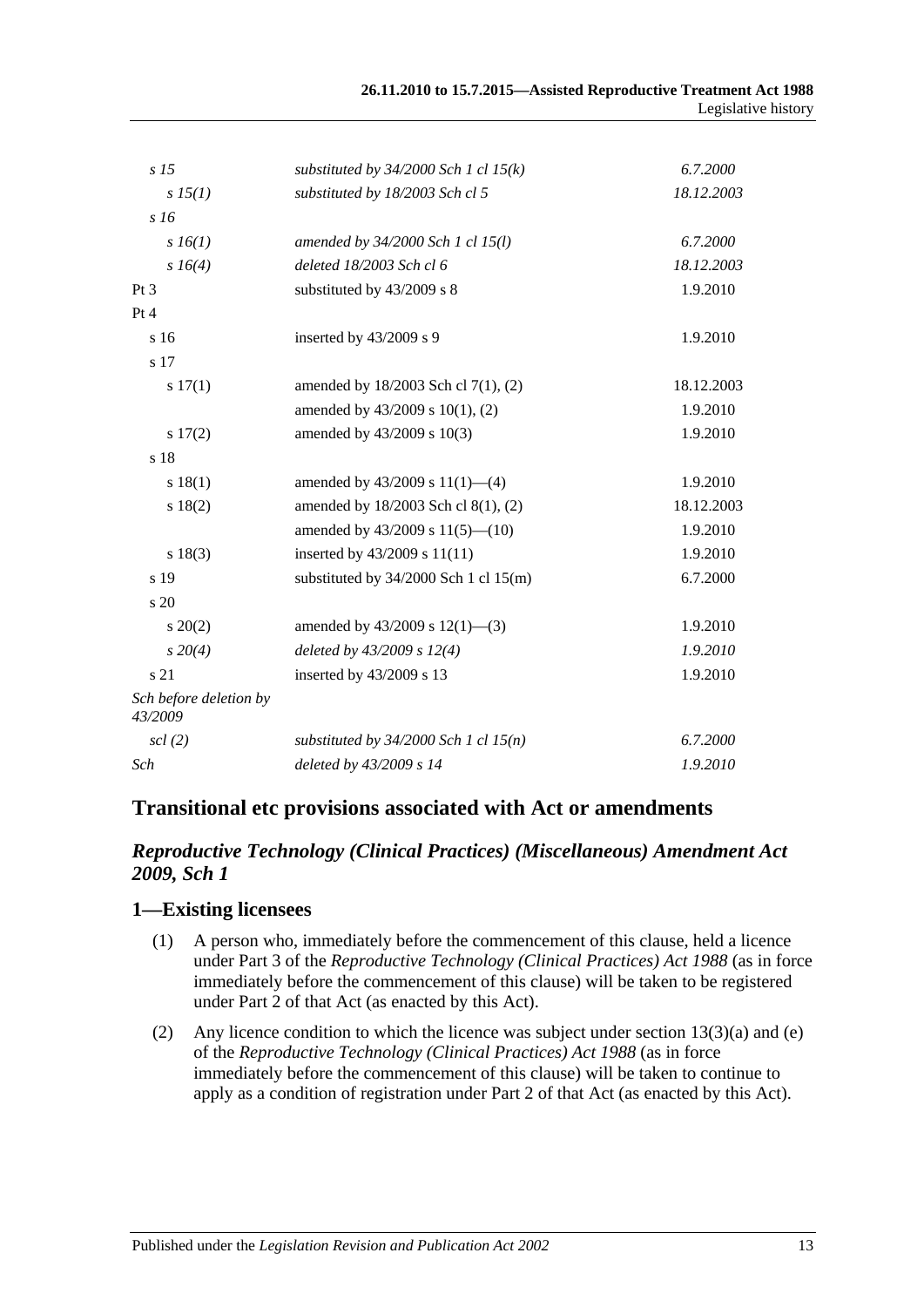| s <sub>15</sub>                   | substituted by $34/2000$ Sch 1 cl 15(k) | 6.7.2000   |
|-----------------------------------|-----------------------------------------|------------|
| s 15(1)                           | substituted by 18/2003 Sch cl 5         | 18.12.2003 |
| s16                               |                                         |            |
| s 16(1)                           | amended by 34/2000 Sch 1 cl 15(l)       | 6.7.2000   |
| $s\,16(4)$                        | deleted 18/2003 Sch cl 6                | 18.12.2003 |
| Pt <sub>3</sub>                   | substituted by 43/2009 s 8              | 1.9.2010   |
| Pt 4                              |                                         |            |
| s 16                              | inserted by 43/2009 s 9                 | 1.9.2010   |
| s 17                              |                                         |            |
| s 17(1)                           | amended by 18/2003 Sch cl 7(1), (2)     | 18.12.2003 |
|                                   | amended by 43/2009 s 10(1), (2)         | 1.9.2010   |
| s 17(2)                           | amended by 43/2009 s 10(3)              | 1.9.2010   |
| s 18                              |                                         |            |
| s 18(1)                           | amended by $43/2009$ s $11(1)$ —(4)     | 1.9.2010   |
| s 18(2)                           | amended by 18/2003 Sch cl 8(1), (2)     | 18.12.2003 |
|                                   | amended by $43/2009$ s $11(5)$ — $(10)$ | 1.9.2010   |
| s 18(3)                           | inserted by 43/2009 s 11(11)            | 1.9.2010   |
| s 19                              | substituted by $34/2000$ Sch 1 cl 15(m) | 6.7.2000   |
| $\frac{1}{20}$                    |                                         |            |
| $s \ 20(2)$                       | amended by $43/2009$ s $12(1)$ —(3)     | 1.9.2010   |
| $s\,20(4)$                        | deleted by $43/2009$ s $12(4)$          | 1.9.2010   |
| s 21                              | inserted by 43/2009 s 13                | 1.9.2010   |
| Sch before deletion by<br>43/2009 |                                         |            |
| $\operatorname{scl}(2)$           | substituted by $34/2000$ Sch 1 cl 15(n) | 6.7.2000   |
| Sch                               | deleted by 43/2009 s 14                 | 1.9.2010   |
|                                   |                                         |            |

## **Transitional etc provisions associated with Act or amendments**

### *Reproductive Technology (Clinical Practices) (Miscellaneous) Amendment Act 2009, Sch 1*

#### **1—Existing licensees**

- (1) A person who, immediately before the commencement of this clause, held a licence under Part 3 of the *[Reproductive Technology \(Clinical Practices\) Act](http://www.legislation.sa.gov.au/index.aspx?action=legref&type=act&legtitle=Reproductive%20Technology%20(Clinical%20Practices)%20Act%201988) 1988* (as in force immediately before the commencement of this clause) will be taken to be registered under Part 2 of that Act (as enacted by this Act).
- (2) Any licence condition to which the licence was subject under section 13(3)(a) and (e) of the *[Reproductive Technology \(Clinical Practices\) Act](http://www.legislation.sa.gov.au/index.aspx?action=legref&type=act&legtitle=Reproductive%20Technology%20(Clinical%20Practices)%20Act%201988) 1988* (as in force immediately before the commencement of this clause) will be taken to continue to apply as a condition of registration under Part 2 of that Act (as enacted by this Act).